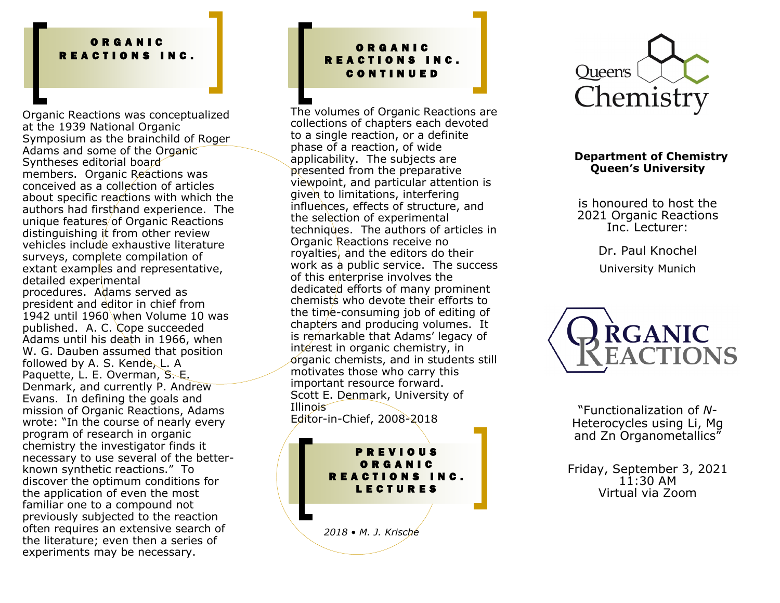#### O R G A N I C R E A C T I O N S I N C .

Organic Reactions was conceptualized at the 1939 National Organic Symposium as the brainchild of Roger Adams and some of the Organic Syntheses editorial board members. Organic Reactions was conceived as a collection of articles about specific reactions with which the authors had firsthand experience. The unique features/of Organic Reactions distinguishing it from other review vehicles include exhaustive literature surveys, complete compilation of extant examples and representative, detailed experimental procedures. Adams served as president and editor in chief from 1942 until 1960 when Volume 10 was published. A. C. Cope succeeded Adams until his death in 1966, when W. G. Dauben assumed that position followed by A. S. Kende, L. A Paquette, L. E. Overman, S. E. Denmark, and currently P. Andrew Evans. In defining the goals and mission of Organic Reactions, Adams wrote: "In the course of nearly every program of research in organic chemistry the investigator finds it necessary to use several of the betterknown synthetic reactions." To discover the optimum conditions for the application of even the most familiar one to a compound not previously subjected to the reaction often requires an extensive search of the literature; even then a series of experiments may be necessary.

### O R G A N I C REACTIONS INC. C O N T I N U E D

The volumes of Organic Reactions are collections of chapters each devoted to a single reaction, or a definite phase of a reaction, of wide applicability. The subjects are presented from the preparative viewpoint, and particular attention is given to limitations, interfering influences, effects of structure, and the selection of experimental techniques. The authors of articles in Organic Reactions receive no royalties, and the editors do their work as a public service. The success of this enterprise involves the dedicated efforts of many prominent chemists who devote their efforts to the time-consuming job of editing of chapters and producing volumes. It is remarkable that Adams' legacy of interest in organic chemistry, in organic chemists, and in students still motivates those who carry this important resource forward. Scott E. Denmark, University of Illinois Editor-in-Chief, 2008-2018

*2018 • M. J. Krische* P R E V I O U S O R G A N I C REACTIONS INC. L E C T U R E S



#### **Department of Chemistry Queen's University**

is honoured to host the 2021 Organic Reactions Inc. Lecturer:

> Dr. Paul Knochel University Munich



"Functionalization of *N*-Heterocycles using Li, Mg and Zn Organometallics"

Friday, September 3, 2021  $11:30$  AM Virtual via Zoom